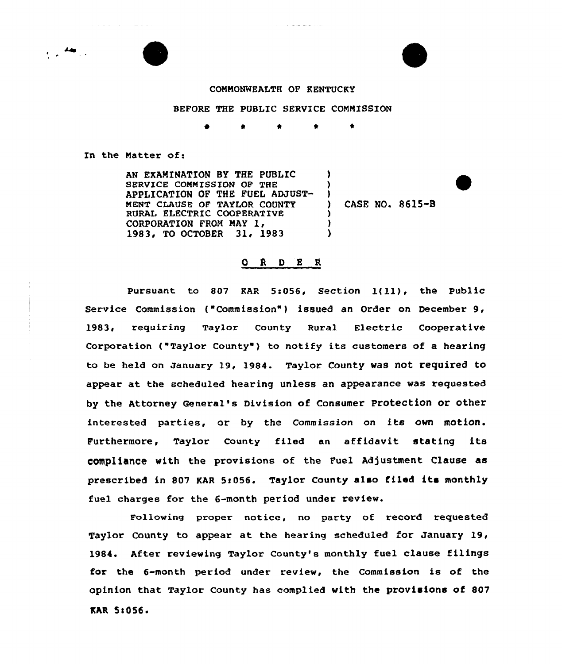

**Contractor** 

and a series

## CONNONNEALTH OF KENTUCKY

 $\alpha$  , and a set of  $\alpha$  , and

## BEFORE THE PUBLIC SERVICE COMMISSION

) ) )

) )  $\lambda$ 

\* \* \* \*

In the Natter of:

AN EXAMINATION BY THE PUBLIC SERVICE COMMISSION OF THE APPLICATION OF THE FUEL ADJUST-MENT CLAUSE OF TAYLOR COUNTY RURAL ELECTRIC COOPERATIVE CORPORATION FROM MAY 1, 1983, TO OCTOBER 31, 1983

) CASE NO. 8615-B

## O R D E R

Pursuant to <sup>807</sup> KAR 5:056, Section l(11), the Public Service Commission ("Commission") issued an Order on December 9, 1983, requiring Taylor County Rural Electric Cooperative Corporation ("Taylor County") to notify its customers of a hearing to be held on January 19, 1984. Taylor County was not required to appear at the scheduled hearing unless an appearance was requested by the Attorney General's Division of Consumer Protection or other interested parties, or by the Commission on its own motion. Furthermore, Taylor County filed an affidavit stating its compliance with the provisions of the Fuel Adjustment Clause as prescribed in 807 KAR 5:056. Taylor County also filed its monthly fuel charges for the 6-month period under review.

Following proper notice, no party of record requested Taylor County to appear at the hearing scheduled for January 19, 1984. After reviewing Taylor County's monthly fuel clause filings for the 6-month period under review, the Commission is of the opinion that Taylor County has complied with the provisions of 807 KAR 5:056.